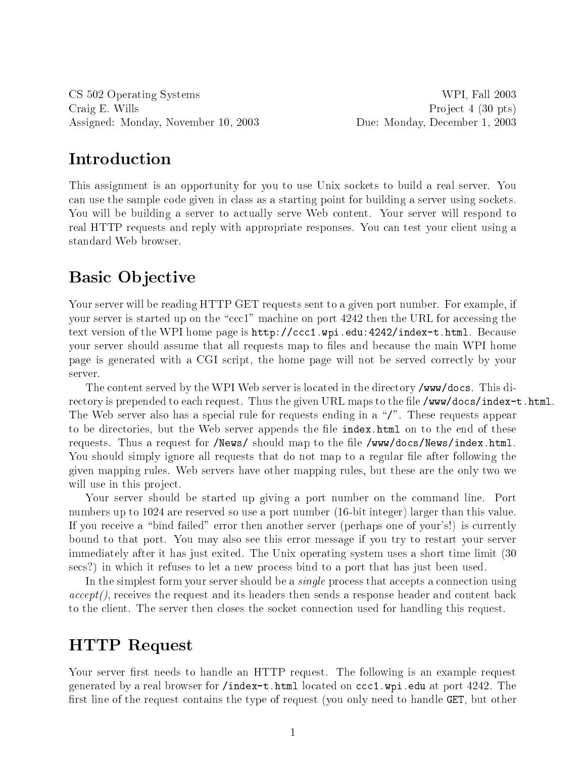CS 502 Operating Systems WPI, Fall 2003 Craig E. Wills Project 4 (30 pts) Assigned: Monday, November 10, 2003 Due: Monday, De
ember 1, 2003

This assignment is an opportunity for you to use Unix so
kets to build a real server. You can use the sample code given in class as a starting point for building a server using sockets. You will be building a server to actually serve Web content. Your server will respond to real HTTP requests and reply with appropriate responses. You can test your client using a standard Web browser.

### tive and the state of the state of the state of the state of the state of the state of the state of the state of the

Your server will be reading HTTP GET requests sent to a given port number. For example, if your server is started up on the "ccc1" machine on port 4242 then the URL for accessing the text version of the WPI home page is  $http://ccc1.wpi.edu:4242/index-t.html$ . Because your server should assume that all requests map to files and because the main WPI home page is generated with a CGI s
ript, the home page will not be served orre
tly by your server.

The content served by the WPI Web server is located in the directory /www/docs. This directory is prepended to each request. Thus the given URL maps to the file /www/docs/index-t.html. The Web server also has a special rule for requests ending in a "/". These requests appear to be directories, but the Web server appends the file index.html on to the end of these requests. Thus a request for /News/ should map to the file /www/docs/News/index.html. You should simply ignore all requests that do not map to a regular file after following the given mapping rules. Web servers have other mapping rules, but these are the only two we will use in this project.

Your server should be started up giving a port number on the ommand line. Port numbers up to <sup>1024</sup> are reserved so use <sup>a</sup> port number (16-bit integer) larger than this value. If you receive a "bind failed" error then another server (perhaps one of your's!) is currently bound to that port. You may also see this error message if you try to restart your server immediately after it has just exited. The Unix operating system uses a short time limit (30 secs?) in which it refuses to let a new process bind to a port that has just been used.

In the simplest form your server should be a *single* process that accepts a connection using  $accept()$ , receives the request and its headers then sends a response header and content back to the client. The server then closes the socket connection used for handling this request.

### HTTP Request

Your server first needs to handle an HTTP request. The following is an example request generated by a real browser for /index-t.html located on  $\text{ccc1}$ . wpi. edu at port 4242. The first line of the request contains the type of request (you only need to handle GET, but other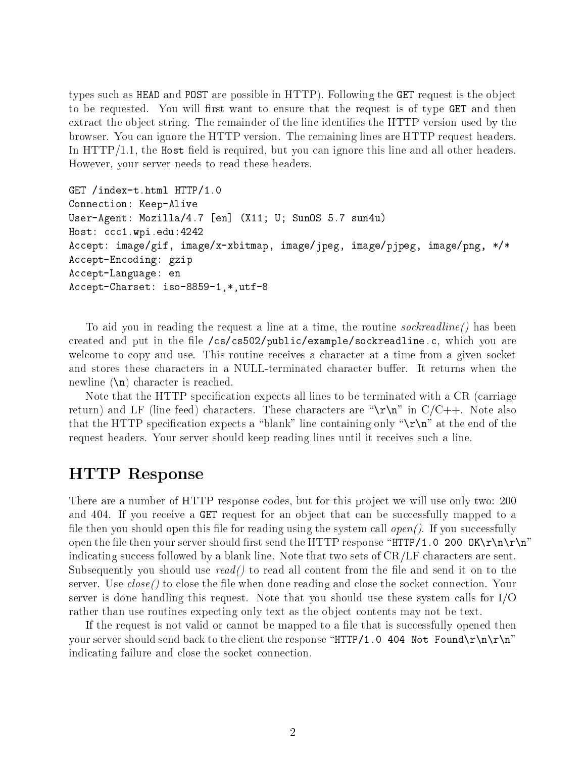types su
h as HEAD and POST are possible in HTTP). Following the GET request is the obje
t to be requested. You will first want to ensure that the request is of type GET and then extract the object string. The remainder of the line identifies the HTTP version used by the browser. You an ignore the HTTP version. The remaining lines are HTTP request headers. In  $\text{HTTP}/1.1$ , the Host field is required, but you can ignore this line and all other headers. However, your server needs to read these headers.

```
GET /index-t.html HTTP/1.0
Connection: Keep-Alive
User-Agent: Mozilla/4.7 [en] (X11; U; SunOS 5.7 sun4u)
Host: ccc1.wpi.edu: 4242
Accept: image/gif, image/x-xbitmap, image/jpeg, image/pjpeg, image/png, */*
Accept-Encoding: gzip
Accept-Language: en
Accept-Charset: iso-8859-1,*,utf-8
```
To aid you in reading the request a line at a time, the routine *sockreadline* () has been created and put in the file /cs/cs502/public/example/sockreadline.c, which you are welcome to copy and use. This routine receives a character at a time from a given socket and stores these characters in a NULL-terminated character buffer. It returns when the newline  $(\nabla)$  character is reached.

Note that the HTTP specification expects all lines to be terminated with a CR (carriage return) and LF (line feed) characters. These characters are " $\rm\Delta r\rm\Delta m$ " in C/C++. Note also that the HTTP specification expects a "blank" line containing only " $\\r\$ r" at the end of the request headers. Your server should keep reading lines until it re
eives su
h a line.

### HTTP Response

There are a number of HTTP response odes, but for this proje
t we will use only two: 200 and 404. If you receive a GET request for an object that can be successfully mapped to a file then you should open this file for reading using the system call  $open(.)$ . If you successfully open the file then your server should first send the HTTP response "HTTP/1.0 200 OK\r\n\r\n" indicating success followed by a blank line. Note that two sets of  $CR/LF$  characters are sent. Subsequently you should use  $read()$  to read all content from the file and send it on to the server. Use  $close()$  to close the file when done reading and close the socket connection. Your server is done handling this request. Note that you should use these system calls for  $I/O$ rather than use routines expecting only text as the object contents may not be text.

If the request is not valid or cannot be mapped to a file that is successfully opened then your server should send back to the client the response "HTTP/1.0 404 Not Found\r\n\r\n" indicating failure and close the socket connection.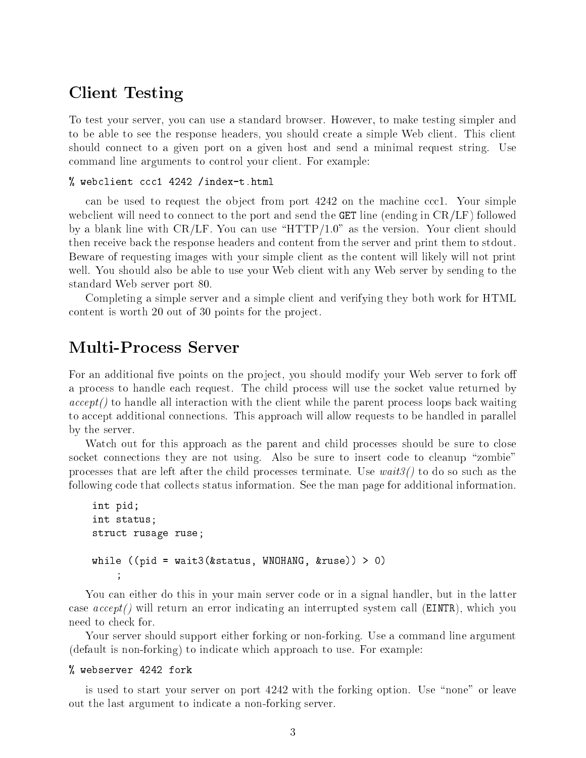### Client Testing Testing Testing

To test your server, you an use a standard browser. However, to make testing simpler and to be able to see the response headers, you should create a simple Web client. This client should onne
t to a given port on a given host and send a minimal request string. Use ommand line arguments to ontrol your lient. For example:

### % webclient ccc1 4242 /index-t.html

can be used to request the object from port 4242 on the machine ccc1. Your simple webclient will need to connect to the port and send the GET line (ending in CR/LF) followed by a blank line with  $CR/LF$ . You can use "HTTP/1.0" as the version. Your client should then re
eive ba
k the response headers and ontent from the server and print them to stdout. Beware of requesting images with your simple client as the content will likely will not print well. You should also be able to use your Web client with any Web server by sending to the standard Web server port 80.

Completing a simple server and a simple client and verifying they both work for HTML ontent is worth 20 out of 30 points for the proje
t.

For an additional five points on the project, you should modify your Web server to fork off a process to handle each request. The child process will use the socket value returned by all interaction with the contract with the parent with the parent with the parent problem with the component to accept additional connections. This approach will allow requests to be handled in parallel by the server.

Watch out for this approach as the parent and child processes should be sure to close socket connections they are not using. Also be sure to insert code to cleanup "zombie" processes that are left after the child processes terminate. Use  $wait3()$  to do so such as the following code that collects status information. See the man page for additional information.

```
int pid;
int status;
stru
t rusage ruse;
while ((pid = wait3(&status, WNOHANG, & rules))) > 0);
```
You can either do this in your main server code or in a signal handler, but in the latter case  $accept()$  will return an error indicating an interrupted system call (EINTR), which you need to he
k for.

Your server should support either forking or non-forking. Use a ommand line argument (default is non-forking) to indicate which approach to use. For example:

### % webserver 4242 fork  $\mathbf{v}$  we be a force  $\mathbf{v}$  for  $\mathbf{v}$

is used to start your server on port 4242 with the forking option. Use "none" or leave out the last argument to indicate a non-forking server.